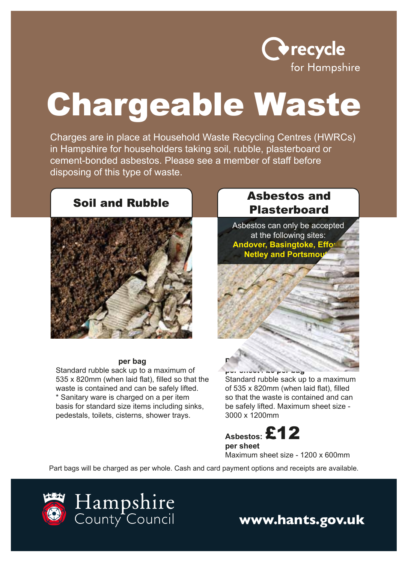

# Chargeable Waste

Charges are in place at Household Waste Recycling Centres (HWRCs) in Hampshire for householders taking soil, rubble, plasterboard or cement-bonded asbestos. Please see a member of staff before disposing of this type of waste.

# Soil and Rubble



#### £2.50\***per bag**

Standard rubble sack up to a maximum of 535 x 820mm (when laid flat), filled so that the waste is contained and can be safely lifted. \* Sanitary ware is charged on a per item basis for standard size items including sinks, pedestals, toilets, cisterns, shower trays.

#### Asbestos and **Plasterboard**

Asbestos can only be accepted at the following sites: **Andover, Basingtoke, Effor Netley and Portsmouth** 



**per sheet / £6 per bag**  Standard rubble sack up to a maximum of 535 x 820mm (when laid flat), filled so that the waste is contained and can be safely lifted. Maximum sheet size - 3000 x 1200mm

**Asbestos:** £12 **per sheet**  Maximum sheet size - 1200 x 600mm

Part bags will be charged as per whole. Cash and card payment options and receipts are available.



**www.hants.gov.uk**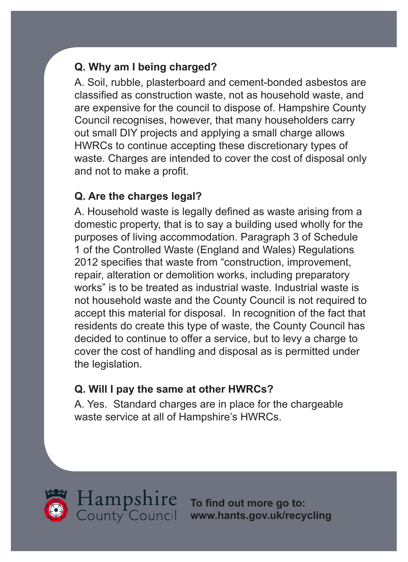# **Q. Why am I being charged?**

A. Soil, rubble, plasterboard and cement-bonded asbestos are classified as construction waste, not as household waste, and are expensive for the council to dispose of. Hampshire County Council recognises, however, that many householders carry out small DIY projects and applying a small charge allows HWRCs to continue accepting these discretionary types of waste. Charges are intended to cover the cost of disposal only and not to make a profit.

### **Q. Are the charges legal?**

A. Household waste is legally defined as waste arising from a domestic property, that is to say a building used wholly for the purposes of living accommodation. Paragraph 3 of Schedule 1 of the Controlled Waste (England and Wales) Regulations 2012 specifies that waste from "construction, improvement, repair, alteration or demolition works, including preparatory works" is to be treated as industrial waste. Industrial waste is not household waste and the County Council is not required to accept this material for disposal. In recognition of the fact that residents do create this type of waste, the County Council has decided to continue to offer a service, but to levy a charge to cover the cost of handling and disposal as is permitted under the legislation.

### **Q. Will I pay the same at other HWRCs?**

A. Yes. Standard charges are in place for the chargeable waste service at all of Hampshire's HWRCs.





**To find out more go to: <www.hants.gov.uk/recycling>**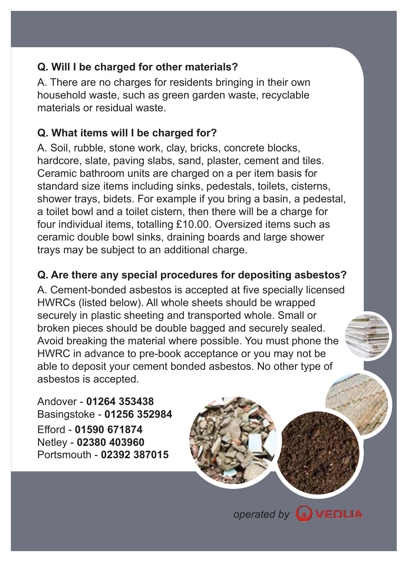### **Q. Will I be charged for other materials?**

A. There are no charges for residents bringing in their own household waste, such as green garden waste, recyclable materials or residual waste.

# **Q. What items will I be charged for?**

A. Soil, rubble, stone work, clay, bricks, concrete blocks, hardcore, slate, paving slabs, sand, plaster, cement and tiles. Ceramic bathroom units are charged on a per item basis for standard size items including sinks, pedestals, toilets, cisterns, shower trays, bidets. For example if you bring a basin, a pedestal, a toilet bowl and a toilet cistern, then there will be a charge for four individual items, totalling £10.00. Oversized items such as ceramic double bowl sinks, draining boards and large shower trays may be subject to an additional charge.

# **Q. Are there any special procedures for depositing asbestos?**

A. Cement-bonded asbestos is accepted at five specially licensed HWRCs (listed below). All whole sheets should be wrapped securely in plastic sheeting and transported whole. Small or broken pieces should be double bagged and securely sealed. Avoid breaking the material where possible. You must phone the HWRC in advance to pre-book acceptance or you may not be able to deposit your cement bonded asbestos. No other type of asbestos is accepted.

Andover - **01264 353438**  Basingstoke - **01256 352984**  Efford - **01590 671874**  Netley - **02380 403960**  Portsmouth - **02392 387015** 

**operated by WEOLIA**